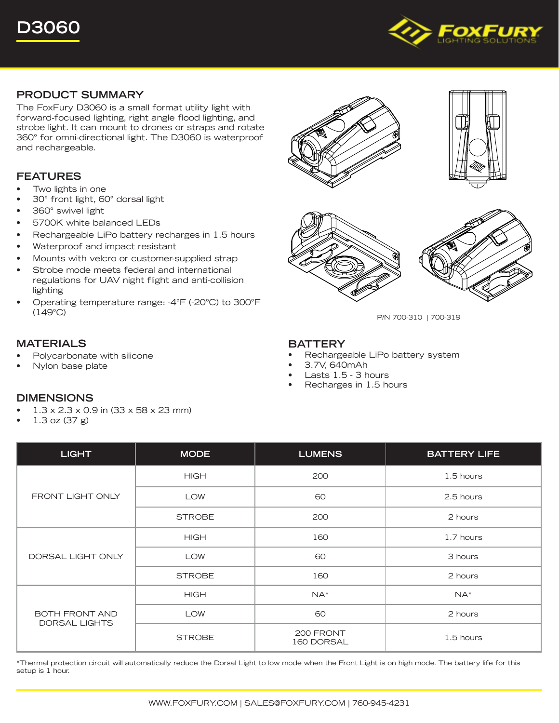

## **PRODUCT SUMMARY**

The FoxFury D3060 is a small format utility light with forward-focused lighting, right angle flood lighting, and strobe light. It can mount to drones or straps and rotate 360° for omni-directional light. The D3060 is waterproof and rechargeable.

# **FEATURES**

- Two lights in one
- 30° front light, 60° dorsal light
- 360° swivel light
- 5700K white balanced LEDs
- Rechargeable LiPo battery recharges in 1.5 hours
- Waterproof and impact resistant
- Mounts with velcro or customer-supplied strap
- Strobe mode meets federal and international regulations for UAV night flight and anti-collision lighting
- Operating temperature range: -4°F (-20°C) to 300°F (149°C)

## **MATERIALS**

- Polycarbonate with silicone
- Nylon base plate









P/N 700-310 | 700-319

### **BATTERY**

- Rechargeable LiPo battery system
- 3.7V, 640mAh
- Lasts 1.5 3 hours
- Recharges in 1.5 hours

| <b>LIGHT</b>                                  | <b>MODE</b>   | <b>LUMENS</b>           | <b>BATTERY LIFE</b> |
|-----------------------------------------------|---------------|-------------------------|---------------------|
| FRONT LIGHT ONLY                              | <b>HIGH</b>   | 200                     | 1.5 hours           |
|                                               | <b>LOW</b>    | 60                      | 2.5 hours           |
|                                               | <b>STROBE</b> | 200                     | 2 hours             |
| DORSAL LIGHT ONLY                             | <b>HIGH</b>   | 160                     | 1.7 hours           |
|                                               | <b>LOW</b>    | 60                      | 3 hours             |
|                                               | <b>STROBE</b> | 160                     | 2 hours             |
| <b>BOTH FRONT AND</b><br><b>DORSAL LIGHTS</b> | <b>HIGH</b>   | $NA^*$                  | $NA^*$              |
|                                               | <b>LOW</b>    | 60                      | 2 hours             |
|                                               | <b>STROBE</b> | 200 FRONT<br>160 DORSAL | 1.5 hours           |

\*Thermal protection circuit will automatically reduce the Dorsal Light to low mode when the Front Light is on high mode. The battery life for this setup is 1 hour.

#### **DIMENSIONS**

- 1.3 x 2.3 x 0.9 in (33 x 58 x 23 mm)
- 1.3 oz (37 g)